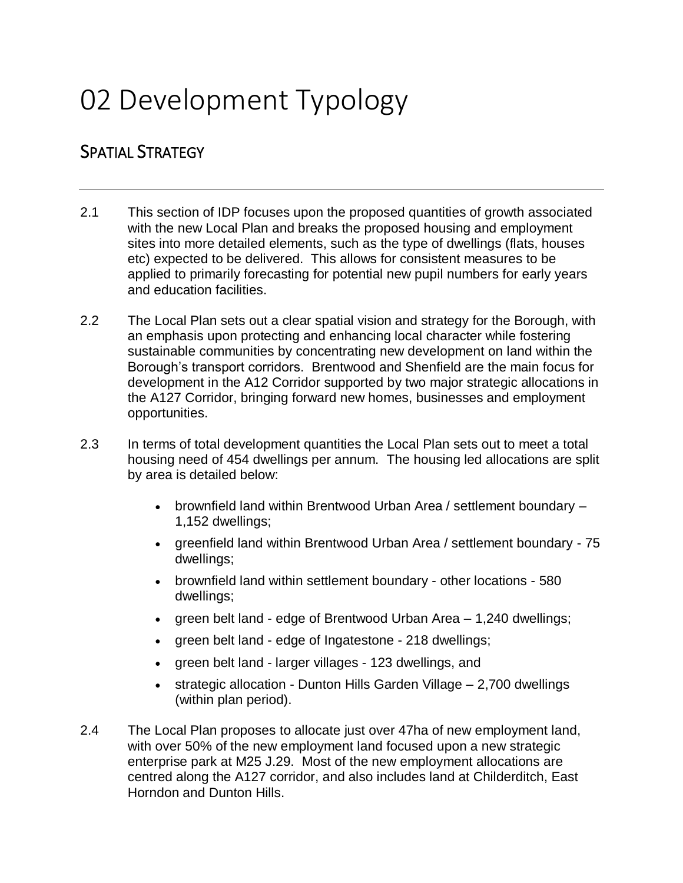# 02 Development Typology

# SPATIAL STRATEGY

- 2.1 This section of IDP focuses upon the proposed quantities of growth associated with the new Local Plan and breaks the proposed housing and employment sites into more detailed elements, such as the type of dwellings (flats, houses etc) expected to be delivered. This allows for consistent measures to be applied to primarily forecasting for potential new pupil numbers for early years and education facilities.
- 2.2 The Local Plan sets out a clear spatial vision and strategy for the Borough, with an emphasis upon protecting and enhancing local character while fostering sustainable communities by concentrating new development on land within the Borough's transport corridors. Brentwood and Shenfield are the main focus for development in the A12 Corridor supported by two major strategic allocations in the A127 Corridor, bringing forward new homes, businesses and employment opportunities.
- 2.3 In terms of total development quantities the Local Plan sets out to meet a total housing need of 454 dwellings per annum. The housing led allocations are split by area is detailed below:
	- brownfield land within Brentwood Urban Area / settlement boundary 1,152 dwellings;
	- greenfield land within Brentwood Urban Area / settlement boundary 75 dwellings;
	- brownfield land within settlement boundary other locations 580 dwellings;
	- green belt land edge of Brentwood Urban Area 1,240 dwellings;
	- green belt land edge of Ingatestone 218 dwellings;
	- green belt land larger villages 123 dwellings, and
	- strategic allocation Dunton Hills Garden Village 2,700 dwellings (within plan period).
- 2.4 The Local Plan proposes to allocate just over 47ha of new employment land, with over 50% of the new employment land focused upon a new strategic enterprise park at M25 J.29. Most of the new employment allocations are centred along the A127 corridor, and also includes land at Childerditch, East Horndon and Dunton Hills.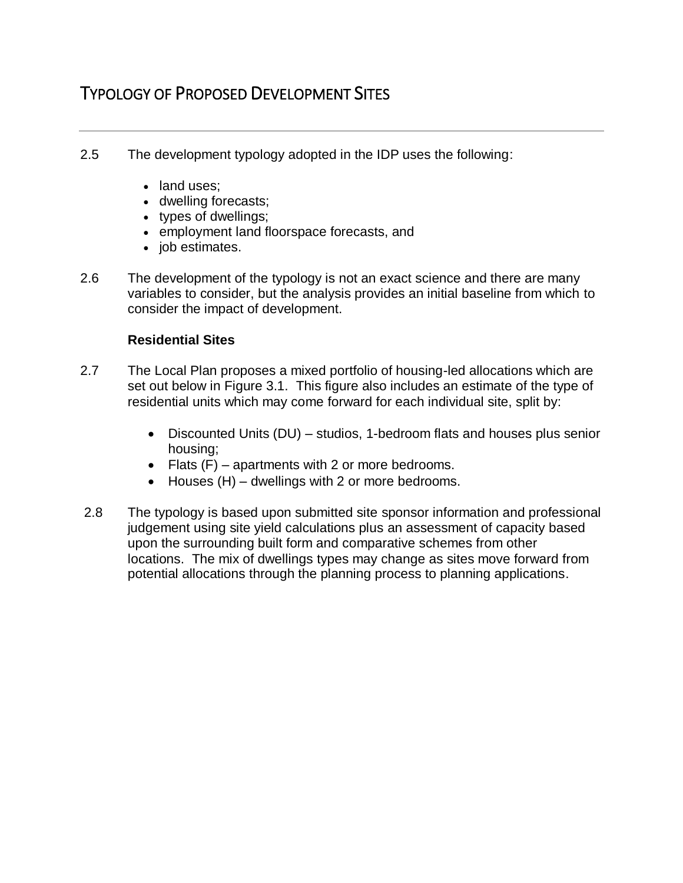# TYPOLOGY OF PROPOSED DEVELOPMENT SITES

- 2.5 The development typology adopted in the IDP uses the following:
	- land uses;
	- dwelling forecasts;
	- types of dwellings;
	- employment land floorspace forecasts, and
	- *job* estimates.
- 2.6 The development of the typology is not an exact science and there are many variables to consider, but the analysis provides an initial baseline from which to consider the impact of development.

#### **Residential Sites**

- 2.7 The Local Plan proposes a mixed portfolio of housing-led allocations which are set out below in Figure 3.1. This figure also includes an estimate of the type of residential units which may come forward for each individual site, split by:
	- Discounted Units (DU) studios, 1-bedroom flats and houses plus senior housing;
	- Flats (F) apartments with 2 or more bedrooms.
	- Houses (H) dwellings with 2 or more bedrooms.
- 2.8 The typology is based upon submitted site sponsor information and professional judgement using site yield calculations plus an assessment of capacity based upon the surrounding built form and comparative schemes from other locations. The mix of dwellings types may change as sites move forward from potential allocations through the planning process to planning applications.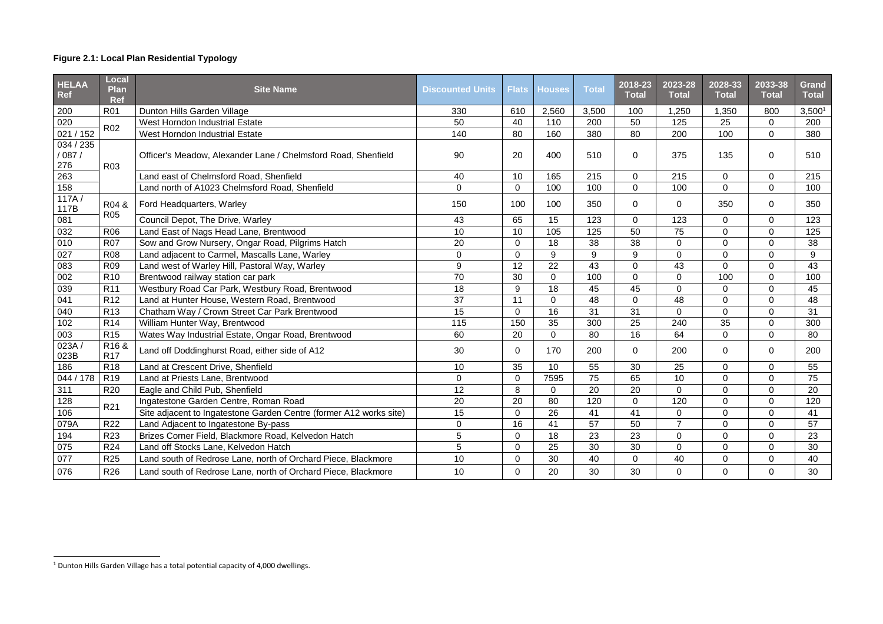# **Figure 2.1: Local Plan Residential Typology**

| <b>HELAA</b><br><b>Ref</b>  | <b>Local</b><br><b>Plan</b><br><b>Ref</b> | <b>Site Name</b>                                                   | <b>Discounted Units</b> | <b>Flats</b>   | <b>Houses</b>  | <b>Total</b> | 2018-23<br><b>Total</b> | 2023-28<br><b>Total</b> | 2028-33<br><b>Total</b> | 2033-38<br><b>Total</b> | <b>Grand</b><br><b>Total</b> |
|-----------------------------|-------------------------------------------|--------------------------------------------------------------------|-------------------------|----------------|----------------|--------------|-------------------------|-------------------------|-------------------------|-------------------------|------------------------------|
| 200                         | <b>R01</b>                                | Dunton Hills Garden Village                                        | 330                     | 610            | 2,560          | 3,500        | 100                     | 1,250                   | 1,350                   | 800                     | 3,500 <sup>1</sup>           |
| 020                         | <b>R02</b>                                | West Horndon Industrial Estate                                     | 50                      | 40             | 110            | 200          | 50                      | 125                     | 25                      | $\overline{0}$          | 200                          |
| 021 / 152                   |                                           | West Horndon Industrial Estate                                     | 140                     | 80             | 160            | 380          | 80                      | 200                     | 100                     | $\overline{0}$          | 380                          |
| 034 / 235<br>/ 087 /<br>276 | R <sub>03</sub>                           | Officer's Meadow, Alexander Lane / Chelmsford Road, Shenfield      | 90                      | 20             | 400            | 510          | $\mathbf 0$             | 375                     | 135                     | $\mathbf{0}$            | 510                          |
| 263                         |                                           | Land east of Chelmsford Road, Shenfield                            | 40                      | 10             | 165            | 215          | $\mathbf 0$             | 215                     | $\overline{0}$          | 0                       | 215                          |
| 158                         |                                           | Land north of A1023 Chelmsford Road, Shenfield                     | $\overline{0}$          | $\overline{0}$ | 100            | 100          | $\overline{0}$          | 100                     | $\overline{0}$          | $\overline{0}$          | 100                          |
| 117A/<br>117B               | R04 &<br><b>R05</b>                       | Ford Headquarters, Warley                                          | 150                     | 100            | 100            | 350          | $\overline{0}$          | $\overline{0}$          | 350                     | $\overline{0}$          | 350                          |
| 081                         |                                           | Council Depot, The Drive, Warley                                   | 43                      | 65             | 15             | 123          | $\overline{0}$          | 123                     | $\overline{0}$          | $\overline{0}$          | 123                          |
| 032                         | R06                                       | Land East of Nags Head Lane, Brentwood                             | 10                      | 10             | 105            | 125          | 50                      | 75                      | $\mathbf 0$             | $\overline{0}$          | 125                          |
| 010                         | <b>R07</b>                                | Sow and Grow Nursery, Ongar Road, Pilgrims Hatch                   | 20                      | $\mathbf 0$    | 18             | 38           | 38                      | $\overline{0}$          | $\boldsymbol{0}$        | $\overline{0}$          | 38                           |
| 027                         | <b>R08</b>                                | Land adjacent to Carmel, Mascalls Lane, Warley                     | $\mathsf{O}$            | $\overline{0}$ | 9              | 9            | 9                       | $\overline{0}$          | $\mathbf 0$             | 0                       | 9                            |
| 083                         | R <sub>09</sub>                           | Land west of Warley Hill, Pastoral Way, Warley                     | 9                       | 12             | 22             | 43           | $\overline{0}$          | 43                      | $\overline{0}$          | 0                       | 43                           |
| 002                         | R <sub>10</sub>                           | Brentwood railway station car park                                 | 70                      | 30             | $\overline{0}$ | 100          | $\Omega$                | $\overline{0}$          | 100                     | $\overline{0}$          | 100                          |
| 039                         | R <sub>11</sub>                           | Westbury Road Car Park, Westbury Road, Brentwood                   | 18                      | 9              | 18             | 45           | 45                      | $\overline{0}$          | $\mathbf 0$             | $\overline{0}$          | 45                           |
| 041                         | R <sub>12</sub>                           | Land at Hunter House, Western Road, Brentwood                      | 37                      | 11             | $\mathbf 0$    | 48           | $\overline{0}$          | 48                      | $\mathbf 0$             | 0                       | 48                           |
| 040                         | R <sub>13</sub>                           | Chatham Way / Crown Street Car Park Brentwood                      | 15                      | $\mathbf 0$    | 16             | 31           | 31                      | $\overline{0}$          | $\mathbf 0$             | $\overline{0}$          | 31                           |
| 102                         | <b>R14</b>                                | William Hunter Way, Brentwood                                      | 115                     | 150            | 35             | 300          | 25                      | 240                     | 35                      | 0                       | 300                          |
| 003                         | R <sub>15</sub>                           | Wates Way Industrial Estate, Ongar Road, Brentwood                 | 60                      | 20             | $\overline{0}$ | 80           | 16                      | 64                      | $\overline{0}$          | $\overline{0}$          | 80                           |
| 023A/<br>023B               | R <sub>16</sub> &<br><b>R17</b>           | Land off Doddinghurst Road, either side of A12                     | 30                      | $\mathbf 0$    | 170            | 200          | $\overline{0}$          | 200                     | $\mathbf 0$             | $\overline{0}$          | 200                          |
| 186                         | <b>R18</b>                                | Land at Crescent Drive, Shenfield                                  | 10                      | 35             | 10             | 55           | 30                      | 25                      | $\mathbf 0$             | $\overline{0}$          | 55                           |
| 044 / 178                   | R <sub>19</sub>                           | Land at Priests Lane, Brentwood                                    | $\mathsf{O}$            | $\mathbf 0$    | 7595           | 75           | 65                      | 10                      | $\mathbf 0$             | $\overline{0}$          | 75                           |
| 311                         | <b>R20</b>                                | Eagle and Child Pub, Shenfield                                     | 12                      | 8              | 0              | 20           | 20                      | $\overline{0}$          | $\mathbf 0$             | 0                       | 20                           |
| 128                         | R <sub>21</sub>                           | Ingatestone Garden Centre, Roman Road                              | 20                      | 20             | 80             | 120          | $\overline{0}$          | 120                     | $\overline{0}$          | $\overline{0}$          | 120                          |
| 106                         |                                           | Site adjacent to Ingatestone Garden Centre (former A12 works site) | 15                      | $\mathbf 0$    | 26             | 41           | 41                      | $\mathbf 0$             | $\mathbf 0$             | 0                       | 41                           |
| 079A                        | R <sub>22</sub>                           | Land Adjacent to Ingatestone By-pass                               | 0                       | 16             | 41             | 57           | 50                      | $\overline{7}$          | $\overline{0}$          | $\overline{0}$          | 57                           |
| 194                         | R <sub>23</sub>                           | Brizes Corner Field, Blackmore Road, Kelvedon Hatch                | 5                       | $\mathbf 0$    | 18             | 23           | 23                      | $\overline{0}$          | $\mathbf 0$             | $\overline{0}$          | 23                           |
| 075                         | R <sub>24</sub>                           | Land off Stocks Lane, Kelvedon Hatch                               | 5                       | $\mathbf 0$    | 25             | 30           | 30                      | $\overline{0}$          | $\mathbf 0$             | $\overline{0}$          | 30                           |
| 077                         | R <sub>25</sub>                           | Land south of Redrose Lane, north of Orchard Piece, Blackmore      | 10                      | $\mathbf 0$    | 30             | 40           | $\mathbf 0$             | 40                      | $\mathbf 0$             | $\overline{0}$          | 40                           |
| 076                         | <b>R26</b>                                | Land south of Redrose Lane, north of Orchard Piece, Blackmore      | 10 <sup>°</sup>         | $\mathbf 0$    | 20             | 30           | 30                      | $\mathbf 0$             | $\overline{0}$          | $\mathbf{0}$            | 30                           |

 $\overline{a}$ 

 $^1$  Dunton Hills Garden Village has a total potential capacity of 4,000 dwellings.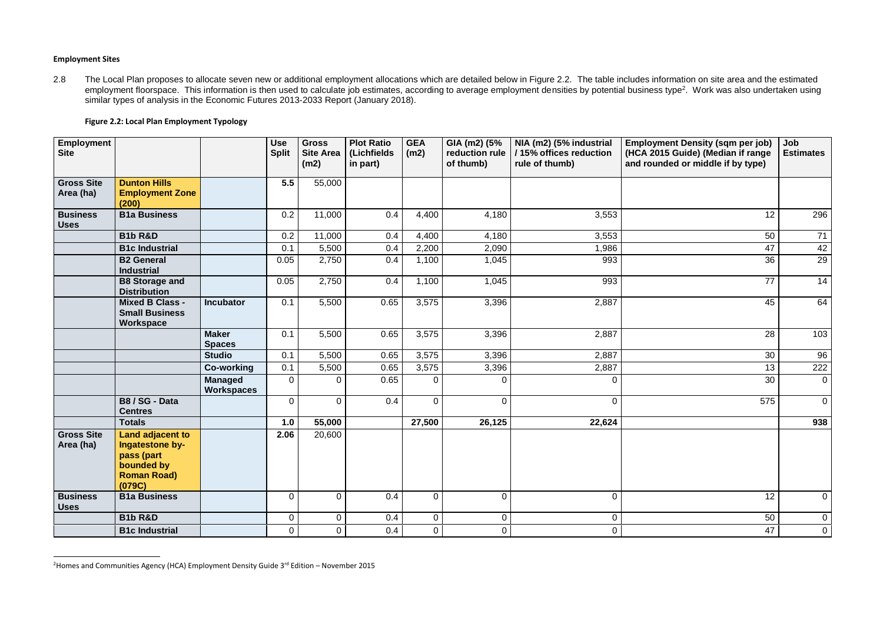#### **Employment Sites**

 $\overline{a}$ 

2.8 The Local Plan proposes to allocate seven new or additional employment allocations which are detailed below in Figure 2.2. The table includes information on site area and the estimated employment floorspace. This information is then used to calculate job estimates, according to average employment densities by potential business type<sup>2</sup>. Work was also undertaken using similar types of analysis in the Economic Futures 2013-2033 Report (January 2018).

| Employment<br><b>Site</b>      |                                                                                                 |                                     | <b>Use</b><br><b>Split</b> | <b>Gross</b><br><b>Site Area</b><br>(m2) | <b>Plot Ratio</b><br>(Lichfields<br>in part) | <b>GEA</b><br>(m2) | GIA (m2) (5%<br>reduction rule<br>of thumb) | NIA (m2) (5% industrial<br>/15% offices reduction<br>rule of thumb) | <b>Employment Density (sqm per job)</b><br>(HCA 2015 Guide) (Median if range<br>and rounded or middle if by type) | Job<br><b>Estimates</b> |
|--------------------------------|-------------------------------------------------------------------------------------------------|-------------------------------------|----------------------------|------------------------------------------|----------------------------------------------|--------------------|---------------------------------------------|---------------------------------------------------------------------|-------------------------------------------------------------------------------------------------------------------|-------------------------|
| <b>Gross Site</b><br>Area (ha) | <b>Dunton Hills</b><br><b>Employment Zone</b><br>(200)                                          |                                     | 5.5                        | 55,000                                   |                                              |                    |                                             |                                                                     |                                                                                                                   |                         |
| <b>Business</b><br><b>Uses</b> | <b>B1a Business</b>                                                                             |                                     | 0.2                        | 11,000                                   | 0.4                                          | 4,400              | 4,180                                       | 3,553                                                               | 12                                                                                                                | 296                     |
|                                | <b>B1b R&amp;D</b>                                                                              |                                     | 0.2                        | 11,000                                   | 0.4                                          | 4,400              | 4,180                                       | 3,553                                                               | 50                                                                                                                | 71                      |
|                                | <b>B1c Industrial</b>                                                                           |                                     | 0.1                        | 5,500                                    | 0.4                                          | 2,200              | 2,090                                       | 1,986                                                               | 47                                                                                                                | 42                      |
|                                | <b>B2 General</b><br><b>Industrial</b>                                                          |                                     | 0.05                       | 2,750                                    | 0.4                                          | 1,100              | 1,045                                       | 993                                                                 | 36                                                                                                                | 29                      |
|                                | <b>B8 Storage and</b><br><b>Distribution</b>                                                    |                                     | 0.05                       | 2,750                                    | 0.4                                          | 1,100              | 1,045                                       | 993                                                                 | 77                                                                                                                | 14                      |
|                                | <b>Mixed B Class -</b><br><b>Small Business</b><br>Workspace                                    | <b>Incubator</b>                    | 0.1                        | 5,500                                    | 0.65                                         | 3,575              | 3,396                                       | 2,887                                                               | 45                                                                                                                | 64                      |
|                                |                                                                                                 | <b>Maker</b><br><b>Spaces</b>       | 0.1                        | 5,500                                    | 0.65                                         | 3,575              | 3,396                                       | 2,887                                                               | 28                                                                                                                | 103                     |
|                                |                                                                                                 | <b>Studio</b>                       | 0.1                        | 5,500                                    | 0.65                                         | 3,575              | 3,396                                       | 2,887                                                               | 30                                                                                                                | 96                      |
|                                |                                                                                                 | <b>Co-working</b>                   | 0.1                        | 5,500                                    | 0.65                                         | 3,575              | 3,396                                       | 2,887                                                               | 13                                                                                                                | 222                     |
|                                |                                                                                                 | <b>Managed</b><br><b>Workspaces</b> | $\Omega$                   | $\overline{0}$                           | 0.65                                         | $\overline{0}$     | $\overline{0}$                              | 0                                                                   | 30                                                                                                                | $\overline{0}$          |
|                                | B8 / SG - Data<br><b>Centres</b>                                                                |                                     | $\Omega$                   | $\overline{0}$                           | 0.4                                          | $\overline{0}$     | $\overline{0}$                              | $\overline{0}$                                                      | 575                                                                                                               | $\overline{0}$          |
|                                | <b>Totals</b>                                                                                   |                                     | 1.0                        | 55,000                                   |                                              | 27,500             | 26,125                                      | 22,624                                                              |                                                                                                                   | 938                     |
| <b>Gross Site</b><br>Area (ha) | Land adjacent to<br>Ingatestone by-<br>pass (part<br>bounded by<br><b>Roman Road)</b><br>(079C) |                                     | 2.06                       | 20,600                                   |                                              |                    |                                             |                                                                     |                                                                                                                   |                         |
| <b>Business</b><br><b>Uses</b> | <b>B1a Business</b>                                                                             |                                     | $\Omega$                   | $\overline{0}$                           | 0.4                                          | $\overline{0}$     | $\overline{0}$                              | $\overline{0}$                                                      | 12                                                                                                                | $\overline{0}$          |
|                                | <b>B1b R&amp;D</b>                                                                              |                                     | $\overline{0}$             | $\overline{0}$                           | 0.4                                          | $\overline{0}$     | $\overline{0}$                              | $\mathbf 0$                                                         | 50                                                                                                                | $\overline{0}$          |
|                                | <b>B1c Industrial</b>                                                                           |                                     | $\mathbf 0$                | $\mathbf 0$                              | 0.4                                          | $\overline{0}$     | $\overline{0}$                              | $\mathbf 0$                                                         | 47                                                                                                                | $\overline{0}$          |

<sup>&</sup>lt;sup>2</sup> Homes and Communities Agency (HCA) Employment Density Guide  $3<sup>rd</sup>$  Edition – November 2015

### **Figure 2.2: Local Plan Employment Typology**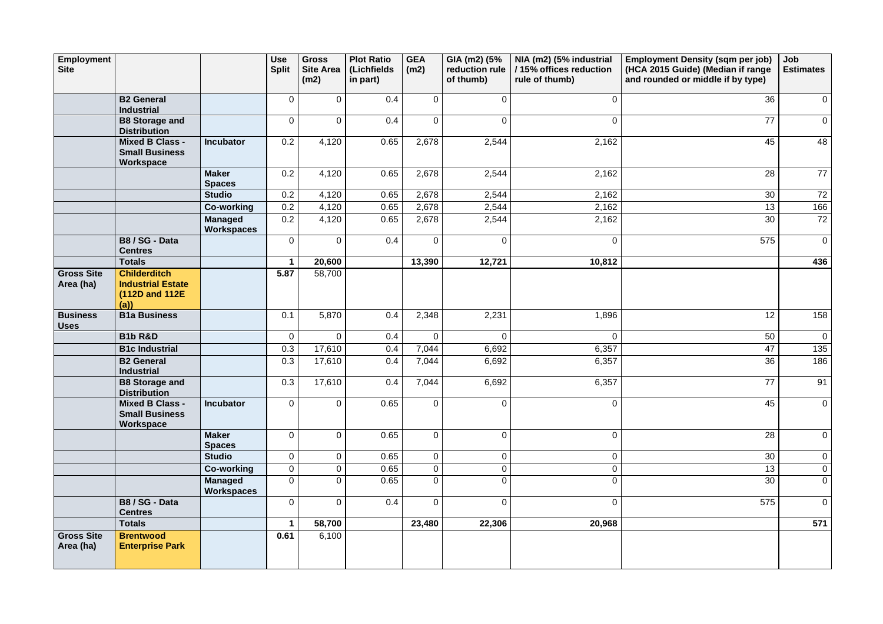| <b>Employment</b><br><b>Site</b> |                                                                           |                                     | <b>Use</b><br><b>Split</b> | <b>Gross</b><br><b>Site Area</b><br>(m2) | <b>Plot Ratio</b><br>(Lichfields<br>in part) | <b>GEA</b><br>(m2) | GIA (m2) (5%<br>reduction rule<br>of thumb) | NIA (m2) (5% industrial<br>/15% offices reduction<br>rule of thumb) | <b>Employment Density (sqm per job)</b><br>(HCA 2015 Guide) (Median if range<br>and rounded or middle if by type) | Job<br><b>Estimates</b> |
|----------------------------------|---------------------------------------------------------------------------|-------------------------------------|----------------------------|------------------------------------------|----------------------------------------------|--------------------|---------------------------------------------|---------------------------------------------------------------------|-------------------------------------------------------------------------------------------------------------------|-------------------------|
|                                  | <b>B2 General</b><br><b>Industrial</b>                                    |                                     | $\overline{0}$             | $\overline{0}$                           | 0.4                                          | $\overline{0}$     | $\overline{0}$                              | $\mathbf 0$                                                         | 36                                                                                                                | $\overline{0}$          |
|                                  | <b>B8 Storage and</b><br><b>Distribution</b>                              |                                     | $\overline{0}$             | $\overline{0}$                           | 0.4                                          | $\overline{0}$     | $\overline{0}$                              | 0                                                                   | 77                                                                                                                | $\overline{0}$          |
|                                  | <b>Mixed B Class -</b><br><b>Small Business</b><br>Workspace              | <b>Incubator</b>                    | 0.2                        | 4,120                                    | 0.65                                         | 2,678              | 2,544                                       | 2,162                                                               | 45                                                                                                                | 48                      |
|                                  |                                                                           | <b>Maker</b><br><b>Spaces</b>       | 0.2                        | 4,120                                    | 0.65                                         | 2,678              | 2,544                                       | 2,162                                                               | 28                                                                                                                | 77                      |
|                                  |                                                                           | <b>Studio</b>                       | 0.2                        | 4,120                                    | 0.65                                         | 2,678              | 2,544                                       | 2,162                                                               | 30                                                                                                                | 72                      |
|                                  |                                                                           | <b>Co-working</b>                   | 0.2                        | 4,120                                    | 0.65                                         | 2,678              | 2,544                                       | 2,162                                                               | 13                                                                                                                | 166                     |
|                                  |                                                                           | <b>Managed</b><br><b>Workspaces</b> | 0.2                        | 4,120                                    | 0.65                                         | 2,678              | 2,544                                       | 2,162                                                               | 30                                                                                                                | 72                      |
|                                  | B8 / SG - Data<br><b>Centres</b>                                          |                                     | $\overline{0}$             | $\overline{0}$                           | 0.4                                          | $\overline{0}$     | $\overline{0}$                              | $\overline{0}$                                                      | 575                                                                                                               | $\overline{0}$          |
|                                  | <b>Totals</b>                                                             |                                     |                            | 20,600                                   |                                              | 13,390             | 12,721                                      | 10,812                                                              |                                                                                                                   | 436                     |
| <b>Gross Site</b><br>Area (ha)   | <b>Childerditch</b><br><b>Industrial Estate</b><br>(112D and 112E)<br>(a) |                                     | 5.87                       | 58,700                                   |                                              |                    |                                             |                                                                     |                                                                                                                   |                         |
| <b>Business</b><br><b>Uses</b>   | <b>B1a Business</b>                                                       |                                     | 0.1                        | 5,870                                    | 0.4                                          | 2,348              | 2,231                                       | 1,896                                                               | 12                                                                                                                | 158                     |
|                                  | <b>B1b R&amp;D</b>                                                        |                                     | $\overline{0}$             | $\mathbf 0$                              | 0.4                                          | $\Omega$           | $\overline{0}$                              | $\overline{0}$                                                      | 50                                                                                                                | $\overline{0}$          |
|                                  | <b>B1c Industrial</b>                                                     |                                     | 0.3                        | 17,610                                   | 0.4                                          | 7,044              | 6,692                                       | 6,357                                                               | 47                                                                                                                | 135                     |
|                                  | <b>B2 General</b><br><b>Industrial</b>                                    |                                     | 0.3                        | 17,610                                   | 0.4                                          | 7,044              | 6,692                                       | 6,357                                                               | 36                                                                                                                | 186                     |
|                                  | <b>B8 Storage and</b><br><b>Distribution</b>                              |                                     | 0.3                        | 17,610                                   | 0.4                                          | 7,044              | 6,692                                       | 6,357                                                               | 77                                                                                                                | 91                      |
|                                  | <b>Mixed B Class -</b><br><b>Small Business</b><br>Workspace              | <b>Incubator</b>                    | $\overline{0}$             | $\mathbf 0$                              | 0.65                                         | $\overline{0}$     | $\overline{0}$                              | $\overline{0}$                                                      | 45                                                                                                                | $\overline{0}$          |
|                                  |                                                                           | <b>Maker</b><br><b>Spaces</b>       | $\overline{0}$             | $\overline{0}$                           | 0.65                                         | $\mathbf 0$        | $\overline{0}$                              | 0                                                                   | 28                                                                                                                | $\overline{0}$          |
|                                  |                                                                           | <b>Studio</b>                       | $\overline{0}$             | $\mathbf 0$                              | 0.65                                         | $\overline{0}$     | $\overline{0}$                              | $\overline{0}$                                                      | 30                                                                                                                | $\overline{0}$          |
|                                  |                                                                           | <b>Co-working</b>                   | $\overline{0}$             | $\mathbf 0$                              | 0.65                                         | $\overline{0}$     | $\overline{0}$                              | $\overline{0}$                                                      | 13                                                                                                                | $\overline{0}$          |
|                                  |                                                                           | <b>Managed</b><br><b>Workspaces</b> | $\overline{0}$             | $\Omega$                                 | 0.65                                         | $\mathbf 0$        | $\overline{0}$                              | $\overline{0}$                                                      | 30                                                                                                                | $\overline{0}$          |
|                                  | B8 / SG - Data<br><b>Centres</b>                                          |                                     | $\overline{0}$             | $\overline{0}$                           | 0.4                                          | $\overline{0}$     | $\overline{0}$                              | $\mathbf 0$                                                         | 575                                                                                                               | $\overline{0}$          |
|                                  | <b>Totals</b>                                                             |                                     |                            | 58,700                                   |                                              | 23,480             | 22,306                                      | 20,968                                                              |                                                                                                                   | 571                     |
| <b>Gross Site</b><br>Area (ha)   | <b>Brentwood</b><br><b>Enterprise Park</b>                                |                                     | 0.61                       | 6,100                                    |                                              |                    |                                             |                                                                     |                                                                                                                   |                         |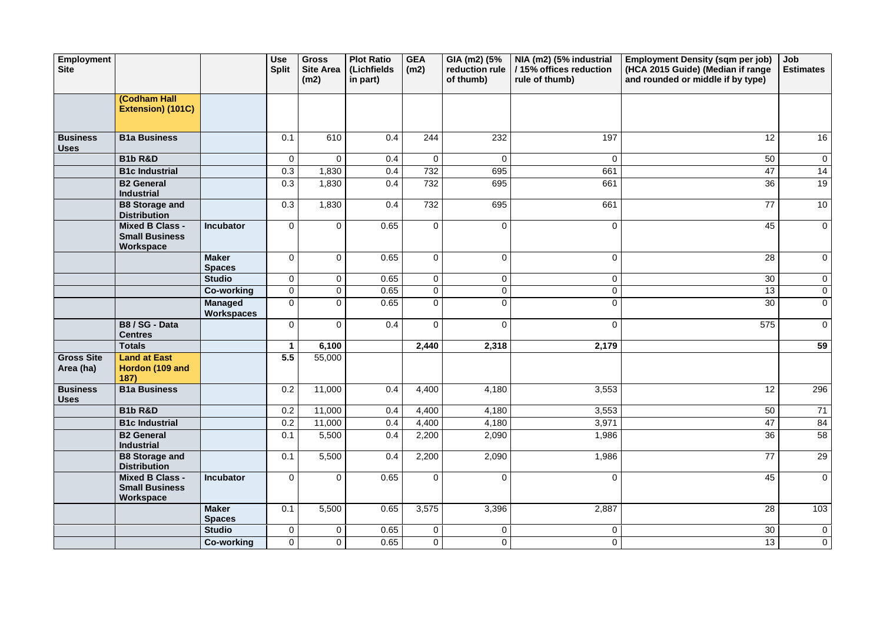| Employment<br><b>Site</b>      |                                                              |                                     | <b>Use</b><br><b>Split</b> | <b>Gross</b><br><b>Site Area</b><br>(m2) | <b>Plot Ratio</b><br>(Lichfields<br>in part) | <b>GEA</b><br>(m2) | GIA (m2) (5%<br>reduction rule<br>of thumb) | NIA (m2) (5% industrial<br>/15% offices reduction<br>rule of thumb) | <b>Employment Density (sqm per job)</b><br>(HCA 2015 Guide) (Median if range<br>and rounded or middle if by type) | Job<br><b>Estimates</b> |
|--------------------------------|--------------------------------------------------------------|-------------------------------------|----------------------------|------------------------------------------|----------------------------------------------|--------------------|---------------------------------------------|---------------------------------------------------------------------|-------------------------------------------------------------------------------------------------------------------|-------------------------|
|                                | (Codham Hall<br>Extension) (101C)                            |                                     |                            |                                          |                                              |                    |                                             |                                                                     |                                                                                                                   |                         |
| <b>Business</b><br><b>Uses</b> | <b>B1a Business</b>                                          |                                     | 0.1                        | 610                                      | 0.4                                          | 244                | 232                                         | 197                                                                 | 12                                                                                                                | 16                      |
|                                | <b>B1b R&amp;D</b>                                           |                                     | $\overline{0}$             | $\mathbf 0$                              | 0.4                                          | $\overline{0}$     | $\mathbf 0$                                 | $\overline{0}$                                                      | 50                                                                                                                | $\overline{0}$          |
|                                | <b>B1c Industrial</b>                                        |                                     | 0.3                        | 1,830                                    | 0.4                                          | 732                | 695                                         | 661                                                                 | 47                                                                                                                | 14                      |
|                                | <b>B2 General</b><br><b>Industrial</b>                       |                                     | 0.3                        | 1,830                                    | 0.4                                          | 732                | 695                                         | 661                                                                 | 36                                                                                                                | 19                      |
|                                | <b>B8 Storage and</b><br><b>Distribution</b>                 |                                     | 0.3                        | 1,830                                    | 0.4                                          | 732                | 695                                         | 661                                                                 | 77                                                                                                                | 10                      |
|                                | <b>Mixed B Class -</b><br><b>Small Business</b><br>Workspace | <b>Incubator</b>                    | $\overline{0}$             | $\overline{0}$                           | 0.65                                         | $\overline{0}$     | ∩                                           | $\overline{0}$                                                      | 45                                                                                                                | $\overline{0}$          |
|                                |                                                              | <b>Maker</b><br><b>Spaces</b>       | $\mathbf 0$                | $\overline{0}$                           | 0.65                                         | $\overline{0}$     | $\Omega$                                    | $\mathbf 0$                                                         | 28                                                                                                                | $\overline{0}$          |
|                                |                                                              | <b>Studio</b>                       | $\overline{0}$             | $\overline{0}$                           | 0.65                                         | $\overline{0}$     | $\mathbf 0$                                 | $\overline{0}$                                                      | 30                                                                                                                | $\overline{0}$          |
|                                |                                                              | <b>Co-working</b>                   | $\overline{0}$             | $\mathbf 0$                              | 0.65                                         | $\overline{0}$     | $\mathbf 0$                                 | $\mathbf 0$                                                         | 13                                                                                                                | $\overline{0}$          |
|                                |                                                              | <b>Managed</b><br><b>Workspaces</b> | $\overline{0}$             | $\Omega$                                 | 0.65                                         | $\overline{0}$     | $\Omega$                                    | 0                                                                   | 30                                                                                                                | $\overline{0}$          |
|                                | B8 / SG - Data<br><b>Centres</b>                             |                                     | $\overline{0}$             | $\overline{0}$                           | 0.4                                          | $\overline{0}$     | $\Omega$                                    | $\mathbf 0$                                                         | 575                                                                                                               | $\overline{0}$          |
|                                | <b>Totals</b>                                                |                                     |                            | 6,100                                    |                                              | 2,440              | 2,318                                       | 2,179                                                               |                                                                                                                   | 59                      |
| <b>Gross Site</b><br>Area (ha) | <b>Land at East</b><br>Hordon (109 and<br>187)               |                                     | 5.5                        | 55,000                                   |                                              |                    |                                             |                                                                     |                                                                                                                   |                         |
| <b>Business</b><br><b>Uses</b> | <b>B1a Business</b>                                          |                                     | 0.2                        | 11,000                                   | 0.4                                          | 4,400              | 4,180                                       | 3,553                                                               | 12                                                                                                                | 296                     |
|                                | <b>B1b R&amp;D</b>                                           |                                     | 0.2                        | 11,000                                   | 0.4                                          | 4,400              | 4,180                                       | 3,553                                                               | 50                                                                                                                | 71                      |
|                                | <b>B1c Industrial</b>                                        |                                     | 0.2                        | 11,000                                   | 0.4                                          | 4,400              | 4,180                                       | 3,971                                                               | 47                                                                                                                | 84                      |
|                                | <b>B2 General</b><br><b>Industrial</b>                       |                                     | 0.1                        | 5,500                                    | 0.4                                          | 2,200              | 2,090                                       | 1,986                                                               | 36                                                                                                                | 58                      |
|                                | <b>B8 Storage and</b><br><b>Distribution</b>                 |                                     | 0.1                        | 5,500                                    | 0.4                                          | 2,200              | 2,090                                       | 1,986                                                               | 77                                                                                                                | 29                      |
|                                | <b>Mixed B Class -</b><br><b>Small Business</b><br>Workspace | <b>Incubator</b>                    | $\overline{0}$             | $\overline{0}$                           | 0.65                                         | $\overline{0}$     | $\overline{0}$                              | $\overline{0}$                                                      | 45                                                                                                                | $\overline{0}$          |
|                                |                                                              | <b>Maker</b><br><b>Spaces</b>       | 0.1                        | 5,500                                    | 0.65                                         | 3,575              | 3,396                                       | 2,887                                                               | 28                                                                                                                | 103                     |
|                                |                                                              | <b>Studio</b>                       | $\mathbf 0$                | $\overline{0}$                           | 0.65                                         | $\overline{0}$     | $\mathbf 0$                                 | 0                                                                   | 30                                                                                                                | $\overline{0}$          |
|                                |                                                              | <b>Co-working</b>                   | $\overline{0}$             | $\overline{0}$                           | 0.65                                         | $\overline{0}$     | $\pmb{0}$                                   | 0                                                                   | 13                                                                                                                | $\overline{0}$          |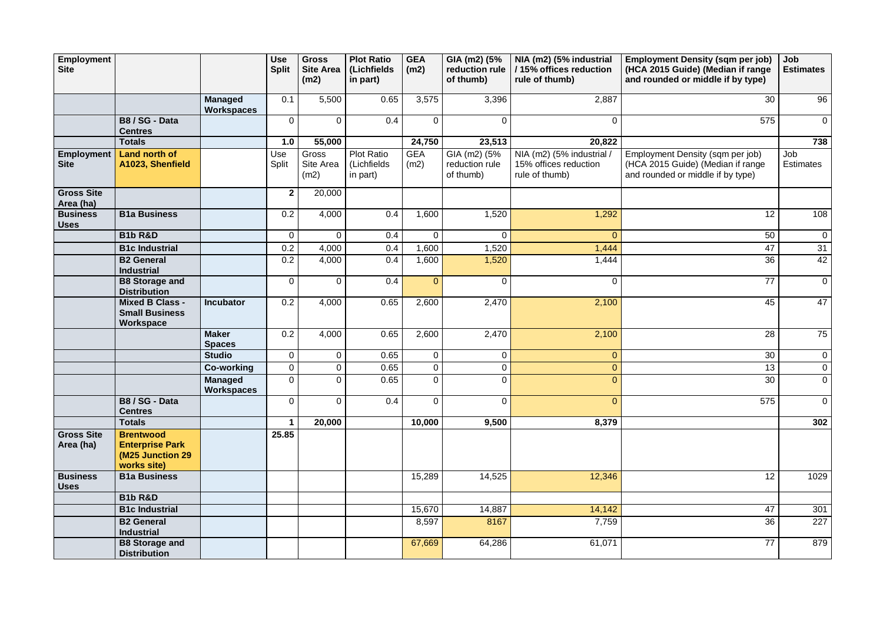| <b>Employment</b>              |                                                                               |                                     | <b>Use</b>     | <b>Gross</b>               | <b>Plot Ratio</b>                            | <b>GEA</b>         | GIA (m2) (5%                                | NIA (m2) (5% industrial                                              | <b>Employment Density (sqm per job)</b>                                                                    | Job                     |
|--------------------------------|-------------------------------------------------------------------------------|-------------------------------------|----------------|----------------------------|----------------------------------------------|--------------------|---------------------------------------------|----------------------------------------------------------------------|------------------------------------------------------------------------------------------------------------|-------------------------|
| <b>Site</b>                    |                                                                               |                                     | <b>Split</b>   | <b>Site Area</b><br>(m2)   | (Lichfields<br>in part)                      | (m2)               | reduction rule<br>of thumb)                 | /15% offices reduction<br>rule of thumb)                             | (HCA 2015 Guide) (Median if range<br>and rounded or middle if by type)                                     | <b>Estimates</b>        |
|                                |                                                                               |                                     |                |                            |                                              |                    |                                             |                                                                      |                                                                                                            |                         |
|                                |                                                                               | <b>Managed</b><br><b>Workspaces</b> | 0.1            | 5,500                      | 0.65                                         | 3,575              | 3,396                                       | 2,887                                                                | 30                                                                                                         | 96                      |
|                                | B8 / SG - Data<br><b>Centres</b>                                              |                                     | $\mathbf 0$    | 0                          | 0.4                                          | $\overline{0}$     | $\Omega$                                    | $\mathbf{0}$                                                         | 575                                                                                                        | $\overline{0}$          |
|                                | <b>Totals</b>                                                                 |                                     | 1.0            | 55,000                     |                                              | 24,750             | 23,513                                      | 20,822                                                               |                                                                                                            | 738                     |
| Employment<br><b>Site</b>      | <b>Land north of</b><br>A1023, Shenfield                                      |                                     | Use<br>Split   | Gross<br>Site Area<br>(m2) | <b>Plot Ratio</b><br>(Lichfields<br>in part) | <b>GEA</b><br>(m2) | GIA (m2) (5%<br>reduction rule<br>of thumb) | NIA (m2) (5% industrial /<br>15% offices reduction<br>rule of thumb) | Employment Density (sqm per job)<br>(HCA 2015 Guide) (Median if range<br>and rounded or middle if by type) | Job<br><b>Estimates</b> |
| <b>Gross Site</b><br>Area (ha) |                                                                               |                                     | $\mathbf{2}$   | 20,000                     |                                              |                    |                                             |                                                                      |                                                                                                            |                         |
| <b>Business</b><br><b>Uses</b> | <b>B1a Business</b>                                                           |                                     | 0.2            | 4,000                      | 0.4                                          | 1,600              | 1,520                                       | 1,292                                                                | 12                                                                                                         | 108                     |
|                                | <b>B1b R&amp;D</b>                                                            |                                     | $\overline{0}$ | $\overline{0}$             | 0.4                                          | $\overline{0}$     | $\overline{0}$                              | $\overline{0}$                                                       | 50                                                                                                         | $\overline{0}$          |
|                                | <b>B1c Industrial</b>                                                         |                                     | 0.2            | 4,000                      | 0.4                                          | 1,600              | 1,520                                       | 1,444                                                                | 47                                                                                                         | 31                      |
|                                | <b>B2 General</b><br><b>Industrial</b>                                        |                                     | 0.2            | 4,000                      | 0.4                                          | 1,600              | 1,520                                       | 1,444                                                                | 36                                                                                                         | 42                      |
|                                | <b>B8 Storage and</b><br><b>Distribution</b>                                  |                                     | $\overline{0}$ | $\overline{0}$             | 0.4                                          | $\overline{0}$     | $\overline{0}$                              | $\overline{0}$                                                       | 77                                                                                                         | $\overline{0}$          |
|                                | <b>Mixed B Class -</b><br><b>Small Business</b><br>Workspace                  | <b>Incubator</b>                    | 0.2            | 4,000                      | 0.65                                         | 2,600              | 2,470                                       | 2,100                                                                | 45                                                                                                         | 47                      |
|                                |                                                                               | <b>Maker</b><br><b>Spaces</b>       | 0.2            | 4,000                      | 0.65                                         | 2,600              | 2,470                                       | 2,100                                                                | 28                                                                                                         | 75                      |
|                                |                                                                               | <b>Studio</b>                       | $\overline{0}$ | $\overline{0}$             | 0.65                                         | $\overline{0}$     | $\mathbf 0$                                 | $\overline{0}$                                                       | 30                                                                                                         | $\overline{0}$          |
|                                |                                                                               | <b>Co-working</b>                   | $\mathbf 0$    | $\overline{0}$             | 0.65                                         | $\overline{0}$     | $\overline{0}$                              | $\overline{0}$                                                       | 13                                                                                                         | $\overline{0}$          |
|                                |                                                                               | <b>Managed</b><br><b>Workspaces</b> | $\overline{0}$ | $\overline{0}$             | 0.65                                         | $\overline{0}$     | $\overline{0}$                              | $\overline{0}$                                                       | 30                                                                                                         | $\mathbf 0$             |
|                                | B8 / SG - Data<br><b>Centres</b>                                              |                                     | $\mathbf 0$    | 0                          | 0.4                                          | $\overline{0}$     | $\overline{0}$                              | $\overline{0}$                                                       | 575                                                                                                        | $\overline{0}$          |
|                                | <b>Totals</b>                                                                 |                                     |                | 20,000                     |                                              | 10,000             | 9,500                                       | 8,379                                                                |                                                                                                            | 302                     |
| <b>Gross Site</b><br>Area (ha) | <b>Brentwood</b><br><b>Enterprise Park</b><br>(M25 Junction 29<br>works site) |                                     | 25.85          |                            |                                              |                    |                                             |                                                                      |                                                                                                            |                         |
| <b>Business</b><br><b>Uses</b> | <b>B1a Business</b>                                                           |                                     |                |                            |                                              | 15,289             | 14,525                                      | 12,346                                                               | 12                                                                                                         | 1029                    |
|                                | <b>B1b R&amp;D</b>                                                            |                                     |                |                            |                                              |                    |                                             |                                                                      |                                                                                                            |                         |
|                                | <b>B1c Industrial</b>                                                         |                                     |                |                            |                                              | 15,670             | 14,887                                      | 14,142                                                               | 47                                                                                                         | 301                     |
|                                | <b>B2 General</b><br><b>Industrial</b>                                        |                                     |                |                            |                                              | 8,597              | 8167                                        | 7,759                                                                | 36                                                                                                         | 227                     |
|                                | <b>B8 Storage and</b><br><b>Distribution</b>                                  |                                     |                |                            |                                              | 67,669             | 64,286                                      | 61,071                                                               | 77                                                                                                         | 879                     |